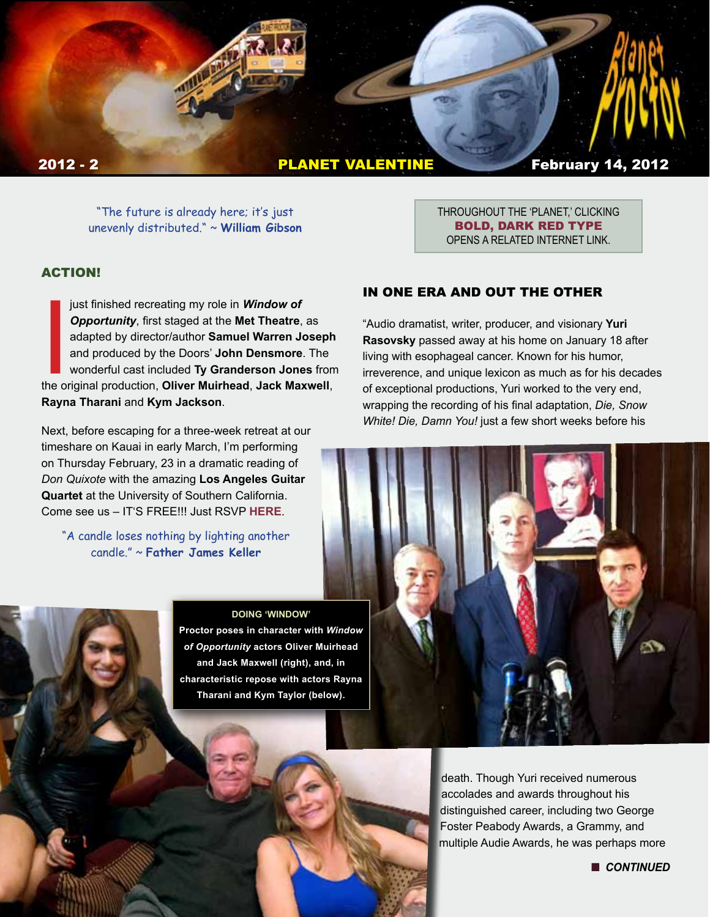

"The future is already here; it's just unevenly distributed." ~ **William Gibson**

### ACTION!

just finished recreating my role in **Window of**<br> **Opportunity**, first staged at the **Met Theatre**, as<br>
adapted by director/author **Samuel Warren Joseph**<br>
and produced by the Doors' **John Densmore**. The<br>
wonderful cast incl just finished recreating my role in *Window of Opportunity*, first staged at the **Met Theatre**, as adapted by director/author **Samuel Warren Joseph** and produced by the Doors' **John Densmore**. The wonderful cast included **Ty Granderson Jones** from **Rayna Tharani** and **Kym Jackson**.

Next, before escaping for a three-week retreat at our timeshare on Kauai in early March, I'm performing on Thursday February, 23 in a dramatic reading of *Don Quixote* with the amazing **Los Angeles Guitar Quartet** at the University of Southern California. Come see us – IT'S FREE!!! Just RSVP **[HERE](http://web-app.usc.edu/ws/eo2/calendar/113/event/893757)**.

"A candle loses nothing by lighting another candle." ~ **Father James Keller** 

#### **DOING 'WINDOW'**

**Proctor poses in character with** *Window of Opportunity* **actors Oliver Muirhead and Jack Maxwell (right), and, in characteristic repose with actors Rayna Tharani and Kym Taylor (below).**

BOLD, DARK RED TYPE OPENS A RELATED INTERNET LINK.

THROUGHOUT THE 'PLANET,' CLICKING

#### IN ONE ERA AND OUT THE OTHER

"Audio dramatist, writer, producer, and visionary **Yuri Rasovsky** passed away at his home on January 18 after living with esophageal cancer. Known for his humor, irreverence, and unique lexicon as much as for his decades of exceptional productions, Yuri worked to the very end, wrapping the recording of his final adaptation, *Die, Snow White! Die, Damn You!* just a few short weeks before his



death. Though Yuri received numerous accolades and awards throughout his distinguished career, including two George Foster Peabody Awards, a Grammy, and multiple Audie Awards, he was perhaps more

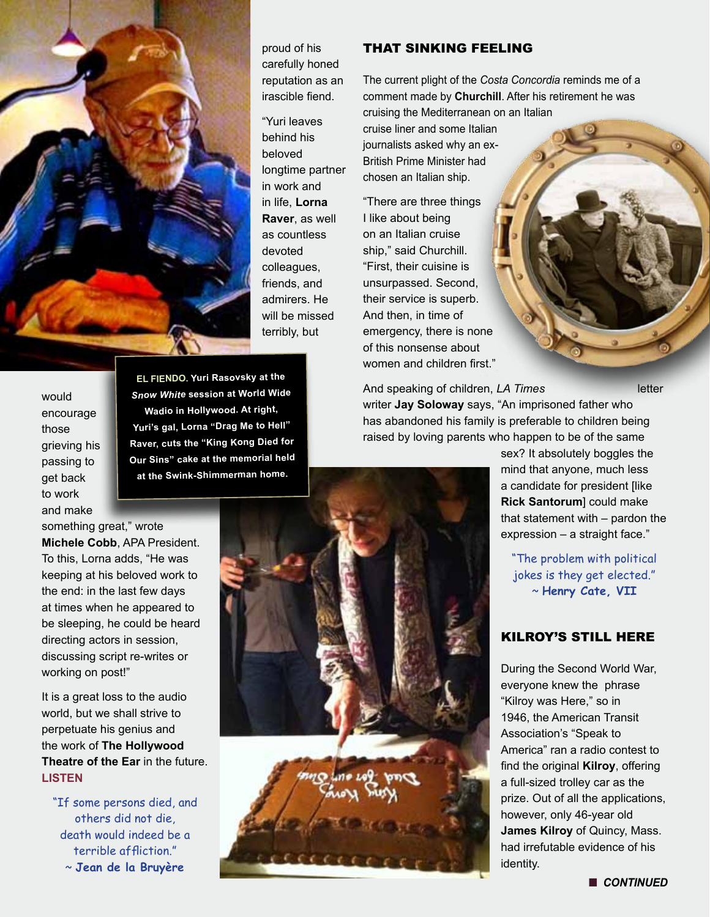

proud of his carefully honed reputation as an irascible fiend.

"Yuri leaves behind his beloved longtime partner in work and in life, **Lorna Raver**, as well as countless devoted colleagues, friends, and admirers. He will be missed terribly, but

# THAT SINKING FEELING

The current plight of the *Costa Concordia* reminds me of a comment made by **Churchill**. After his retirement he was cruising the Mediterranean on an Italian

cruise liner and some Italian journalists asked why an ex-British Prime Minister had chosen an Italian ship.

"There are three things I like about being on an Italian cruise ship," said Churchill. "First, their cuisine is unsurpassed. Second, their service is superb. And then, in time of emergency, there is none of this nonsense about women and children first."

And speaking of children, *LA Times* **letter** writer **Jay Soloway** says, "An imprisoned father who has abandoned his family is preferable to children being raised by loving parents who happen to be of the same

> sex? It absolutely boggles the mind that anyone, much less a candidate for president [like **Rick Santorum**] could make that statement with – pardon the expression – a straight face."

"The problem with political jokes is they get elected." ~ **Henry Cate, VII**

# KILROY'S STILL HERE

During the Second World War, everyone knew the phrase "Kilroy was Here," so in 1946, the American Transit Association's "Speak to America" ran a radio contest to find the original **Kilroy**, offering a full-sized trolley car as the prize. Out of all the applications, however, only 46-year old **James Kilroy** of Quincy, Mass. had irrefutable evidence of his identity.

would encourage those grieving his passing to get back to work and make

**EL FIENDO. Yuri Rasovsky at the**  *Snow White* **session at World Wide Wadio in Hollywood. At right, Yuri's gal, Lorna "Drag Me to Hell" Raver, cuts the "King Kong Died for Our Sins" cake at the memorial held at the Swink-Shimmerman home.**

something great," wrote

**Michele Cobb**, APA President. To this, Lorna adds, "He was keeping at his beloved work to the end: in the last few days at times when he appeared to be sleeping, he could be heard directing actors in session, discussing script re-writes or working on post!"

It is a great loss to the audio world, but we shall strive to perpetuate his genius and the work of **The Hollywood Theatre of the Ear** in the future. **LISTEN**

"If some persons died, and others did not die, death would indeed be a terrible affliction." ~ **Jean de la Bruyère**

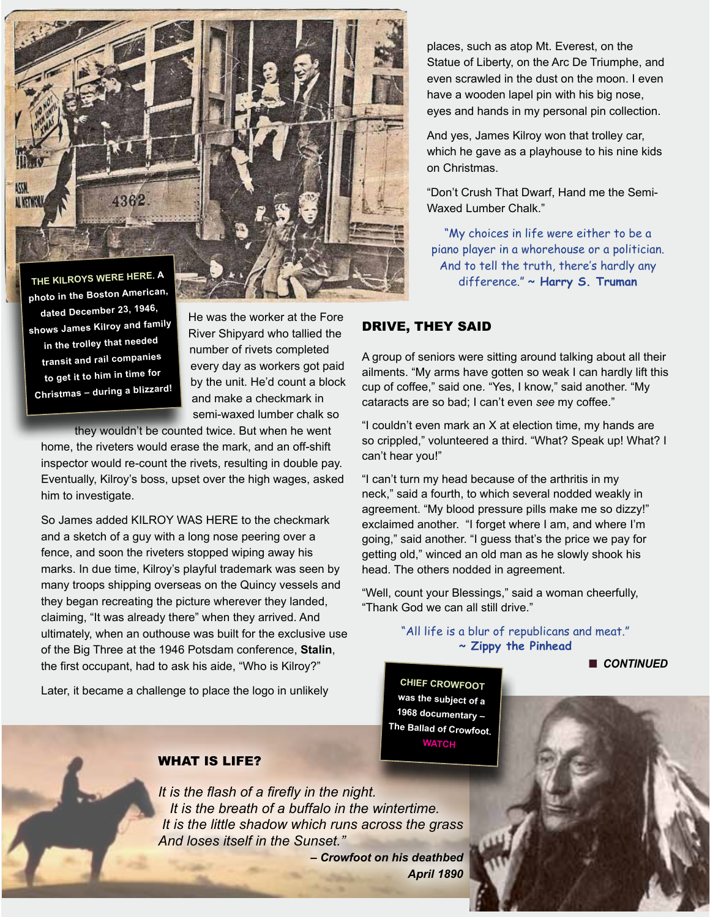

**photo in the Boston American, dated December 23, 1946, shows James Kilroy and family in the trolley that needed transit and rail companies to get it to him in time for Christmas – during a blizzard!**

He was the worker at the Fore River Shipyard who tallied the number of rivets completed every day as workers got paid by the unit. He'd count a block and make a checkmark in semi-waxed lumber chalk so

they wouldn't be counted twice. But when he went home, the riveters would erase the mark, and an off-shift inspector would re-count the rivets, resulting in double pay. Eventually, Kilroy's boss, upset over the high wages, asked him to investigate.

So James added KILROY WAS HERE to the checkmark and a sketch of a guy with a long nose peering over a fence, and soon the riveters stopped wiping away his marks. In due time, Kilroy's playful trademark was seen by many troops shipping overseas on the Quincy vessels and they began recreating the picture wherever they landed, claiming, "It was already there" when they arrived. And ultimately, when an outhouse was built for the exclusive use of the Big Three at the 1946 Potsdam conference, **Stalin**, the first occupant, had to ask his aide, "Who is Kilroy?"

Later, it became a challenge to place the logo in unlikely

places, such as atop Mt. Everest, on the Statue of Liberty, on the Arc De Triumphe, and even scrawled in the dust on the moon. I even have a wooden lapel pin with his big nose, eyes and hands in my personal pin collection.

And yes, James Kilroy won that trolley car, which he gave as a playhouse to his nine kids on Christmas.

"Don't Crush That Dwarf, Hand me the Semi-Waxed Lumber Chalk."

"My choices in life were either to be a piano player in a whorehouse or a politician. And to tell the truth, there's hardly any difference." **~ Harry S. Truman**

#### DRIVE, THEY SAID

A group of seniors were sitting around talking about all their ailments. "My arms have gotten so weak I can hardly lift this cup of coffee," said one. "Yes, I know," said another. "My cataracts are so bad; I can't even *see* my coffee."

"I couldn't even mark an X at election time, my hands are so crippled," volunteered a third. "What? Speak up! What? I can't hear you!"

"I can't turn my head because of the arthritis in my neck," said a fourth, to which several nodded weakly in agreement. "My blood pressure pills make me so dizzy!" exclaimed another. "I forget where I am, and where I'm going," said another. "I guess that's the price we pay for getting old," winced an old man as he slowly shook his head. The others nodded in agreement.

"Well, count your Blessings," said a woman cheerfully, "Thank God we can all still drive."

> "All life is a blur of republicans and meat." **~ Zippy the Pinhead**

> > **n** CONTINUED

n *CONTINUED*

**CHIEF CROWFOOT was the subject of a 1968 documentary – The Ballad of Crowfoot. [WATCH](http://www.youtube.com/watch?v=5oBLw2D9cZk)**

#### WHAT IS LIFE?

*It is the flash of a firefly in the night. It is the breath of a buffalo in the wintertime. It is the little shadow which runs across the grass And loses itself in the Sunset."* 

*– Crowfoot on his deathbed April 1890*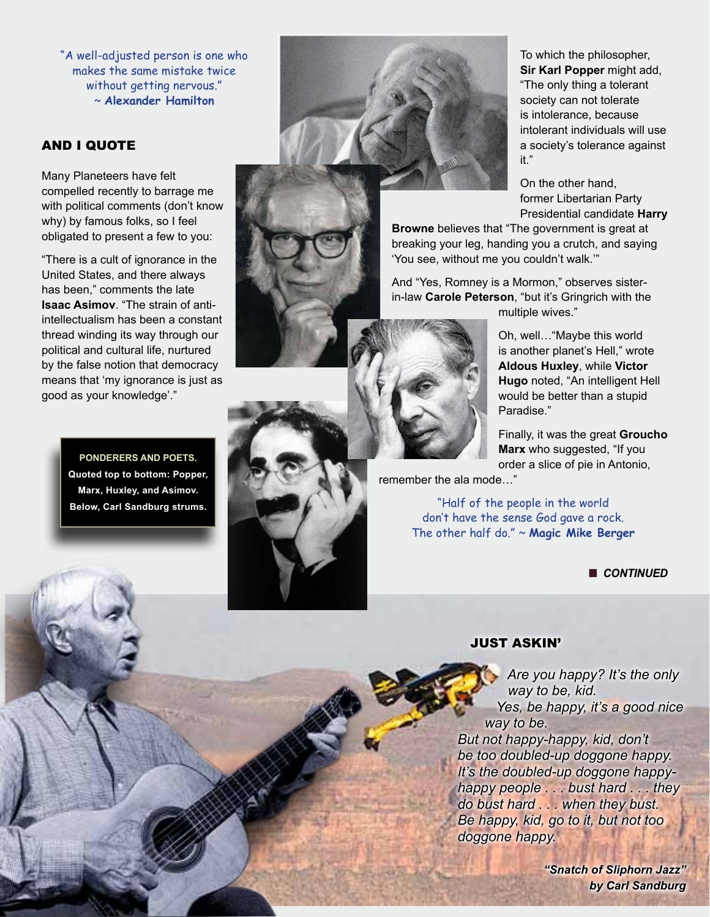"A well-adjusted person is one who makes the same mistake twice without getting nervous." ~ **Alexander Hamilton**

### AND I QUOTE

Many Planeteers have felt compelled recently to barrage me with political comments (don't know why) by famous folks, so I feel obligated to present a few to you:

"There is a cult of ignorance in the United States, and there always has been," comments the late **Isaac Asimov**. "The strain of antiintellectualism has been a constant thread winding its way through our political and cultural life, nurtured by the false notion that democracy means that 'my ignorance is just as good as your knowledge'."

> **PONDERERS AND POETS. Quoted top to bottom: Popper, Marx, Huxley, and Asimov. Below, Carl Sandburg strums.**



To which the philosopher, **Sir Karl Popper** might add, "The only thing a tolerant society can not tolerate is intolerance, because intolerant individuals will use a society's tolerance against it."

On the other hand, former Libertarian Party Presidential candidate **Harry** 

**Browne** believes that "The government is great at breaking your leg, handing you a crutch, and saying 'You see, without me you couldn't walk.'"

And "Yes, Romney is a Mormon," observes sisterin-law **Carole Peterson**, "but it's Gringrich with the multiple wives."

> Oh, well…"Maybe this world is another planet's Hell," wrote **Aldous Huxley**, while **Victor Hugo** noted, "An intelligent Hell would be better than a stupid Paradise."

Finally, it was the great **Groucho Marx** who suggested, "If you order a slice of pie in Antonio,

remember the ala mode…"

"Half of the people in the world don't have the sense God gave a rock. The other half do." ~ **Magic Mike Berger**

**n** CONTINUED

#### JUST ASKIN'

 *Are you happy? It's the only way to be, kid. Yes, be happy, it's a good nice way to be. But not happy-happy, kid, don't be too doubled-up doggone happy.*

*It's the doubled-up doggone happyhappy people . . . bust hard . . . they do bust hard . . . when they bust. Be happy, kid, go to it, but not too doggone happy.*

> *"Snatch of Sliphorn Jazz" by Carl Sandburg*